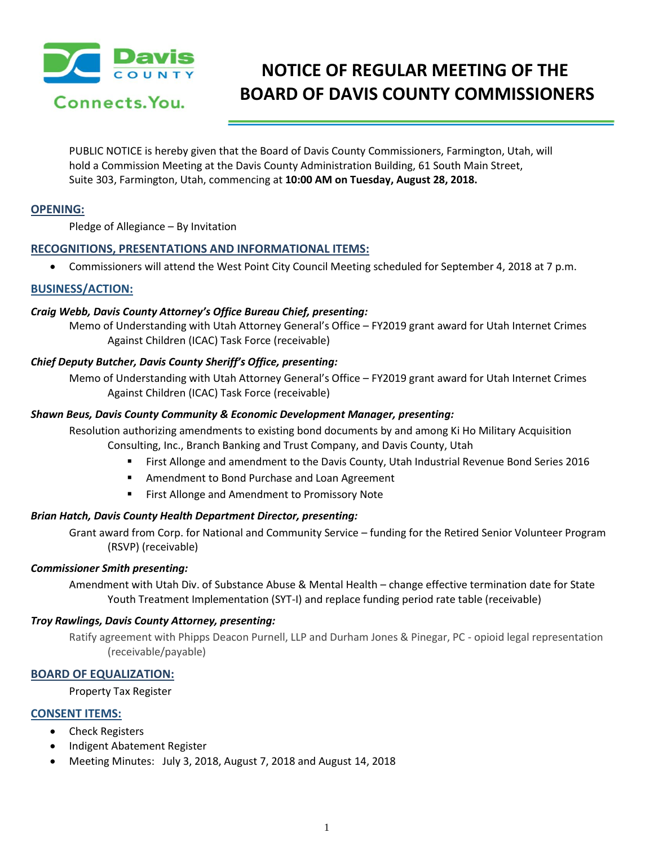

# **NOTICE OF REGULAR MEETING OF THE BOARD OF DAVIS COUNTY COMMISSIONERS**

PUBLIC NOTICE is hereby given that the Board of Davis County Commissioners, Farmington, Utah, will hold a Commission Meeting at the Davis County Administration Building, 61 South Main Street, Suite 303, Farmington, Utah, commencing at **10:00 AM on Tuesday, August 28, 2018.**

# **OPENING:**

Pledge of Allegiance – By Invitation

# **RECOGNITIONS, PRESENTATIONS AND INFORMATIONAL ITEMS:**

Commissioners will attend the West Point City Council Meeting scheduled for September 4, 2018 at 7 p.m.

## **BUSINESS/ACTION:**

## *Craig Webb, Davis County Attorney's Office Bureau Chief, presenting:*

Memo of Understanding with Utah Attorney General's Office – FY2019 grant award for Utah Internet Crimes Against Children (ICAC) Task Force (receivable)

# *Chief Deputy Butcher, Davis County Sheriff's Office, presenting:*

Memo of Understanding with Utah Attorney General's Office – FY2019 grant award for Utah Internet Crimes Against Children (ICAC) Task Force (receivable)

## *Shawn Beus, Davis County Community & Economic Development Manager, presenting:*

Resolution authorizing amendments to existing bond documents by and among Ki Ho Military Acquisition Consulting, Inc., Branch Banking and Trust Company, and Davis County, Utah

- First Allonge and amendment to the Davis County, Utah Industrial Revenue Bond Series 2016
- **EXTERGHMENT Amendment to Bond Purchase and Loan Agreement**
- First Allonge and Amendment to Promissory Note

# *Brian Hatch, Davis County Health Department Director, presenting:*

Grant award from Corp. for National and Community Service – funding for the Retired Senior Volunteer Program (RSVP) (receivable)

#### *Commissioner Smith presenting:*

Amendment with Utah Div. of Substance Abuse & Mental Health – change effective termination date for State Youth Treatment Implementation (SYT-I) and replace funding period rate table (receivable)

#### *Troy Rawlings, Davis County Attorney, presenting:*

Ratify agreement with Phipps Deacon Purnell, LLP and Durham Jones & Pinegar, PC - opioid legal representation (receivable/payable)

# **BOARD OF EQUALIZATION:**

Property Tax Register

# **CONSENT ITEMS:**

- Check Registers
- Indigent Abatement Register
- Meeting Minutes: July 3, 2018, August 7, 2018 and August 14, 2018